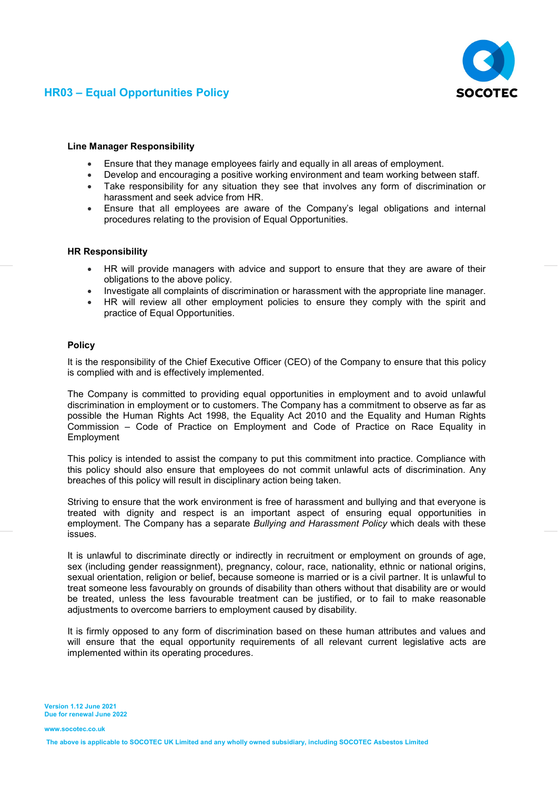



## Line Manager Responsibility

- Ensure that they manage employees fairly and equally in all areas of employment.
- Develop and encouraging a positive working environment and team working between staff.
- Take responsibility for any situation they see that involves any form of discrimination or harassment and seek advice from HR.
- Ensure that all employees are aware of the Company's legal obligations and internal procedures relating to the provision of Equal Opportunities.

## HR Responsibility

- HR will provide managers with advice and support to ensure that they are aware of their obligations to the above policy.
- Investigate all complaints of discrimination or harassment with the appropriate line manager.
- HR will review all other employment policies to ensure they comply with the spirit and practice of Equal Opportunities.

### Policy

It is the responsibility of the Chief Executive Officer (CEO) of the Company to ensure that this policy is complied with and is effectively implemented.

The Company is committed to providing equal opportunities in employment and to avoid unlawful discrimination in employment or to customers. The Company has a commitment to observe as far as possible the Human Rights Act 1998, the Equality Act 2010 and the Equality and Human Rights Commission – Code of Practice on Employment and Code of Practice on Race Equality in Employment

This policy is intended to assist the company to put this commitment into practice. Compliance with this policy should also ensure that employees do not commit unlawful acts of discrimination. Any breaches of this policy will result in disciplinary action being taken.

Striving to ensure that the work environment is free of harassment and bullying and that everyone is treated with dignity and respect is an important aspect of ensuring equal opportunities in employment. The Company has a separate Bullying and Harassment Policy which deals with these issues.

It is unlawful to discriminate directly or indirectly in recruitment or employment on grounds of age, sex (including gender reassignment), pregnancy, colour, race, nationality, ethnic or national origins, sexual orientation, religion or belief, because someone is married or is a civil partner. It is unlawful to treat someone less favourably on grounds of disability than others without that disability are or would be treated, unless the less favourable treatment can be justified, or to fail to make reasonable adjustments to overcome barriers to employment caused by disability.

It is firmly opposed to any form of discrimination based on these human attributes and values and will ensure that the equal opportunity requirements of all relevant current legislative acts are implemented within its operating procedures.

Version 1.12 June 2021 Due for renewal June 2022

www.socotec.co.uk

The above is applicable to SOCOTEC UK Limited and any wholly owned subsidiary, including SOCOTEC Asbestos Limited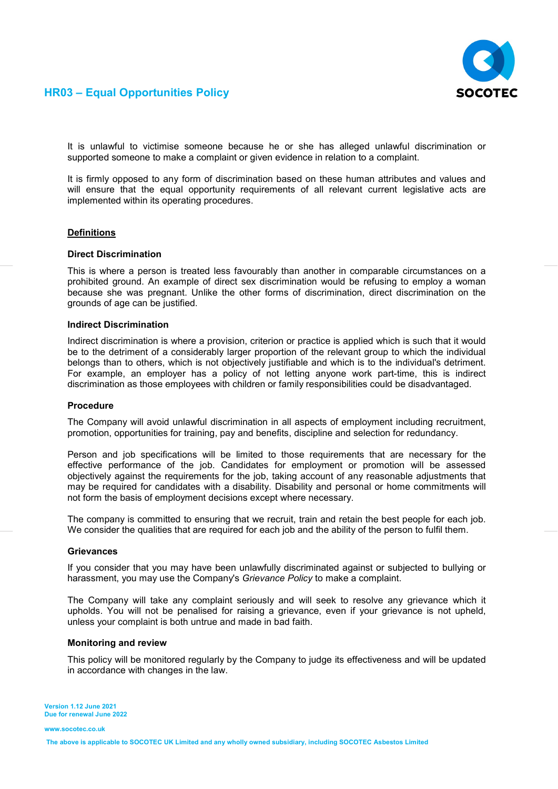

## HR03 – Equal Opportunities Policy

It is unlawful to victimise someone because he or she has alleged unlawful discrimination or supported someone to make a complaint or given evidence in relation to a complaint.

It is firmly opposed to any form of discrimination based on these human attributes and values and will ensure that the equal opportunity requirements of all relevant current legislative acts are implemented within its operating procedures.

#### **Definitions**

#### Direct Discrimination

This is where a person is treated less favourably than another in comparable circumstances on a prohibited ground. An example of direct sex discrimination would be refusing to employ a woman because she was pregnant. Unlike the other forms of discrimination, direct discrimination on the grounds of age can be justified.

### Indirect Discrimination

Indirect discrimination is where a provision, criterion or practice is applied which is such that it would be to the detriment of a considerably larger proportion of the relevant group to which the individual belongs than to others, which is not objectively justifiable and which is to the individual's detriment. For example, an employer has a policy of not letting anyone work part-time, this is indirect discrimination as those employees with children or family responsibilities could be disadvantaged.

## Procedure

The Company will avoid unlawful discrimination in all aspects of employment including recruitment, promotion, opportunities for training, pay and benefits, discipline and selection for redundancy.

Person and job specifications will be limited to those requirements that are necessary for the effective performance of the job. Candidates for employment or promotion will be assessed objectively against the requirements for the job, taking account of any reasonable adjustments that may be required for candidates with a disability. Disability and personal or home commitments will not form the basis of employment decisions except where necessary.

The company is committed to ensuring that we recruit, train and retain the best people for each job. We consider the qualities that are required for each job and the ability of the person to fulfil them.

#### **Grievances**

If you consider that you may have been unlawfully discriminated against or subjected to bullying or harassment, you may use the Company's Grievance Policy to make a complaint.

The Company will take any complaint seriously and will seek to resolve any grievance which it upholds. You will not be penalised for raising a grievance, even if your grievance is not upheld, unless your complaint is both untrue and made in bad faith.

#### Monitoring and review

This policy will be monitored regularly by the Company to judge its effectiveness and will be updated in accordance with changes in the law.

Version 1.12 June 2021 Due for renewal June 2022

www.socotec.co.uk

The above is applicable to SOCOTEC UK Limited and any wholly owned subsidiary, including SOCOTEC Asbestos Limited